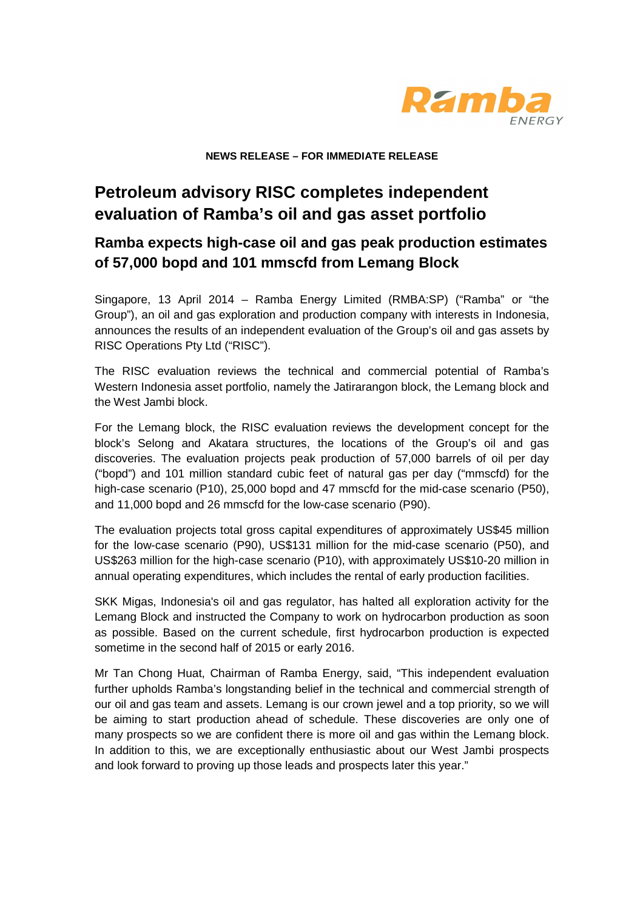

**NEWS RELEASE – FOR IMMEDIATE RELEASE** 

# **Petroleum advisory RISC completes independent evaluation of Ramba's oil and gas asset portfolio**

## **Ramba expects high-case oil and gas peak production estimates of 57,000 bopd and 101 mmscfd from Lemang Block**

Singapore, 13 April 2014 – Ramba Energy Limited (RMBA:SP) ("Ramba" or "the Group"), an oil and gas exploration and production company with interests in Indonesia, announces the results of an independent evaluation of the Group's oil and gas assets by RISC Operations Pty Ltd ("RISC").

The RISC evaluation reviews the technical and commercial potential of Ramba's Western Indonesia asset portfolio, namely the Jatirarangon block, the Lemang block and the West Jambi block.

For the Lemang block, the RISC evaluation reviews the development concept for the block's Selong and Akatara structures, the locations of the Group's oil and gas discoveries. The evaluation projects peak production of 57,000 barrels of oil per day ("bopd") and 101 million standard cubic feet of natural gas per day ("mmscfd) for the high-case scenario (P10), 25,000 bopd and 47 mmscfd for the mid-case scenario (P50), and 11,000 bopd and 26 mmscfd for the low-case scenario (P90).

The evaluation projects total gross capital expenditures of approximately US\$45 million for the low-case scenario (P90), US\$131 million for the mid-case scenario (P50), and US\$263 million for the high-case scenario (P10), with approximately US\$10-20 million in annual operating expenditures, which includes the rental of early production facilities.

SKK Migas, Indonesia's oil and gas regulator, has halted all exploration activity for the Lemang Block and instructed the Company to work on hydrocarbon production as soon as possible. Based on the current schedule, first hydrocarbon production is expected sometime in the second half of 2015 or early 2016.

Mr Tan Chong Huat, Chairman of Ramba Energy, said, "This independent evaluation further upholds Ramba's longstanding belief in the technical and commercial strength of our oil and gas team and assets. Lemang is our crown jewel and a top priority, so we will be aiming to start production ahead of schedule. These discoveries are only one of many prospects so we are confident there is more oil and gas within the Lemang block. In addition to this, we are exceptionally enthusiastic about our West Jambi prospects and look forward to proving up those leads and prospects later this year."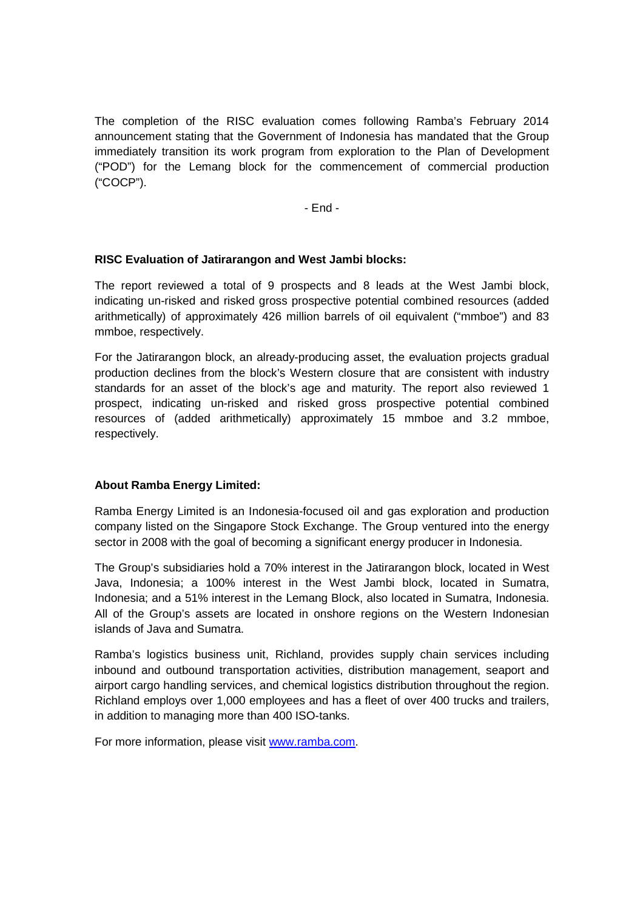The completion of the RISC evaluation comes following Ramba's February 2014 announcement stating that the Government of Indonesia has mandated that the Group immediately transition its work program from exploration to the Plan of Development ("POD") for the Lemang block for the commencement of commercial production ("COCP").

- End -

### **RISC Evaluation of Jatirarangon and West Jambi blocks:**

The report reviewed a total of 9 prospects and 8 leads at the West Jambi block, indicating un-risked and risked gross prospective potential combined resources (added arithmetically) of approximately 426 million barrels of oil equivalent ("mmboe") and 83 mmboe, respectively.

For the Jatirarangon block, an already-producing asset, the evaluation projects gradual production declines from the block's Western closure that are consistent with industry standards for an asset of the block's age and maturity. The report also reviewed 1 prospect, indicating un-risked and risked gross prospective potential combined resources of (added arithmetically) approximately 15 mmboe and 3.2 mmboe, respectively.

### **About Ramba Energy Limited:**

Ramba Energy Limited is an Indonesia-focused oil and gas exploration and production company listed on the Singapore Stock Exchange. The Group ventured into the energy sector in 2008 with the goal of becoming a significant energy producer in Indonesia.

The Group's subsidiaries hold a 70% interest in the Jatirarangon block, located in West Java, Indonesia; a 100% interest in the West Jambi block, located in Sumatra, Indonesia; and a 51% interest in the Lemang Block, also located in Sumatra, Indonesia. All of the Group's assets are located in onshore regions on the Western Indonesian islands of Java and Sumatra.

Ramba's logistics business unit, Richland, provides supply chain services including inbound and outbound transportation activities, distribution management, seaport and airport cargo handling services, and chemical logistics distribution throughout the region. Richland employs over 1,000 employees and has a fleet of over 400 trucks and trailers, in addition to managing more than 400 ISO-tanks.

For more information, please visit www.ramba.com.